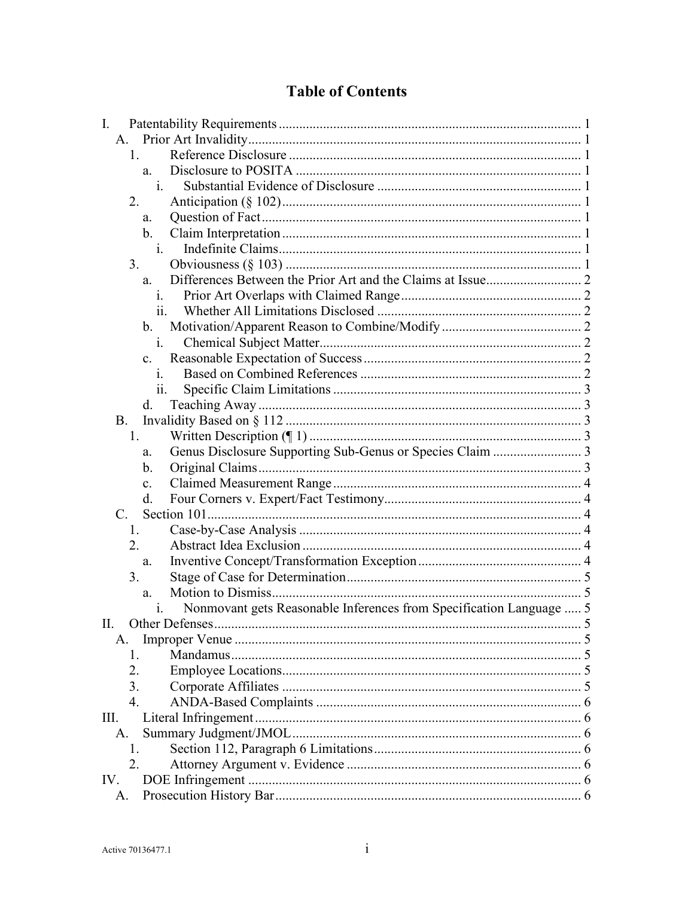# **Table of Contents**

| I.  |                  |                |                                                                     |  |
|-----|------------------|----------------|---------------------------------------------------------------------|--|
|     | A.               |                |                                                                     |  |
|     | 1.               |                |                                                                     |  |
|     |                  | a.             |                                                                     |  |
|     |                  | i.             |                                                                     |  |
|     | 2.               |                |                                                                     |  |
|     |                  | a.             |                                                                     |  |
|     |                  | b.             |                                                                     |  |
|     |                  | 1.             |                                                                     |  |
|     | 3.               |                |                                                                     |  |
|     |                  | a.             |                                                                     |  |
|     |                  | 1.             |                                                                     |  |
|     |                  | 11.            |                                                                     |  |
|     |                  | b.             |                                                                     |  |
|     |                  | 1 <sub>1</sub> |                                                                     |  |
|     |                  | $c_{\rm}$      |                                                                     |  |
|     |                  | 1.             |                                                                     |  |
|     |                  | 11.            |                                                                     |  |
|     |                  | d.             |                                                                     |  |
|     | <b>B.</b>        |                |                                                                     |  |
|     | 1.               |                |                                                                     |  |
|     |                  | a.             | Genus Disclosure Supporting Sub-Genus or Species Claim  3           |  |
|     |                  | b.             |                                                                     |  |
|     |                  | $\mathbf{c}$ . |                                                                     |  |
|     |                  | d.             |                                                                     |  |
|     | $C_{\cdot}$      |                |                                                                     |  |
|     | 1.               |                |                                                                     |  |
|     | 2.               |                |                                                                     |  |
|     |                  | a.             |                                                                     |  |
|     | 3.               |                |                                                                     |  |
|     |                  | a.             |                                                                     |  |
|     |                  | 1.             | Nonmovant gets Reasonable Inferences from Specification Language  5 |  |
| H.  |                  |                | Other Defenses                                                      |  |
|     | A.               |                |                                                                     |  |
|     | 1.               |                |                                                                     |  |
|     | 2.               |                |                                                                     |  |
|     | 3.               |                |                                                                     |  |
|     | $\overline{4}$ . |                |                                                                     |  |
| Ш.  |                  |                |                                                                     |  |
|     | A.               |                |                                                                     |  |
|     | 1.               |                |                                                                     |  |
|     | 2.               |                |                                                                     |  |
| IV. |                  |                |                                                                     |  |
|     | A.               |                |                                                                     |  |
|     |                  |                |                                                                     |  |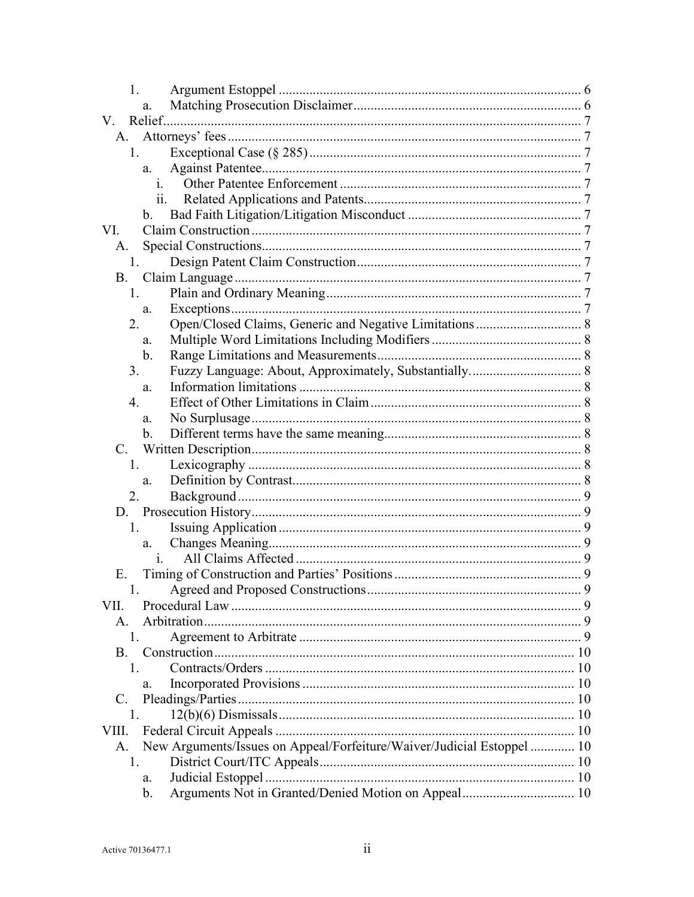| 1.             |                                                                        |  |  |  |  |  |
|----------------|------------------------------------------------------------------------|--|--|--|--|--|
|                | a.                                                                     |  |  |  |  |  |
| V.             |                                                                        |  |  |  |  |  |
| A.             |                                                                        |  |  |  |  |  |
| 1.             |                                                                        |  |  |  |  |  |
|                | a.                                                                     |  |  |  |  |  |
|                | $\mathbf{1}$ .                                                         |  |  |  |  |  |
|                |                                                                        |  |  |  |  |  |
|                | $\mathbf{b}$ .                                                         |  |  |  |  |  |
| VI.            |                                                                        |  |  |  |  |  |
| A.             |                                                                        |  |  |  |  |  |
| 1.             |                                                                        |  |  |  |  |  |
|                |                                                                        |  |  |  |  |  |
| 1.             |                                                                        |  |  |  |  |  |
|                | a.                                                                     |  |  |  |  |  |
| 2.             |                                                                        |  |  |  |  |  |
|                | a.                                                                     |  |  |  |  |  |
|                | $\mathbf b$ .                                                          |  |  |  |  |  |
| 3.             |                                                                        |  |  |  |  |  |
|                | a.                                                                     |  |  |  |  |  |
| 4.             |                                                                        |  |  |  |  |  |
|                | a.                                                                     |  |  |  |  |  |
|                | $\mathbf{b}$ .                                                         |  |  |  |  |  |
|                |                                                                        |  |  |  |  |  |
|                |                                                                        |  |  |  |  |  |
| 1.             |                                                                        |  |  |  |  |  |
|                | a.                                                                     |  |  |  |  |  |
| 2.             |                                                                        |  |  |  |  |  |
|                |                                                                        |  |  |  |  |  |
| 1.             |                                                                        |  |  |  |  |  |
|                | a.                                                                     |  |  |  |  |  |
|                | $\mathbf{1}$ .                                                         |  |  |  |  |  |
| Ε.             |                                                                        |  |  |  |  |  |
|                |                                                                        |  |  |  |  |  |
| VII.           |                                                                        |  |  |  |  |  |
| $\mathsf{A}$ . |                                                                        |  |  |  |  |  |
| 1.             |                                                                        |  |  |  |  |  |
| <b>B.</b>      |                                                                        |  |  |  |  |  |
| L.             |                                                                        |  |  |  |  |  |
|                | a.                                                                     |  |  |  |  |  |
| C.             |                                                                        |  |  |  |  |  |
| 1.             |                                                                        |  |  |  |  |  |
| VIII.          |                                                                        |  |  |  |  |  |
| A.             | New Arguments/Issues on Appeal/Forfeiture/Waiver/Judicial Estoppel  10 |  |  |  |  |  |
| 1.             |                                                                        |  |  |  |  |  |
|                | a.                                                                     |  |  |  |  |  |
|                | b.                                                                     |  |  |  |  |  |
|                |                                                                        |  |  |  |  |  |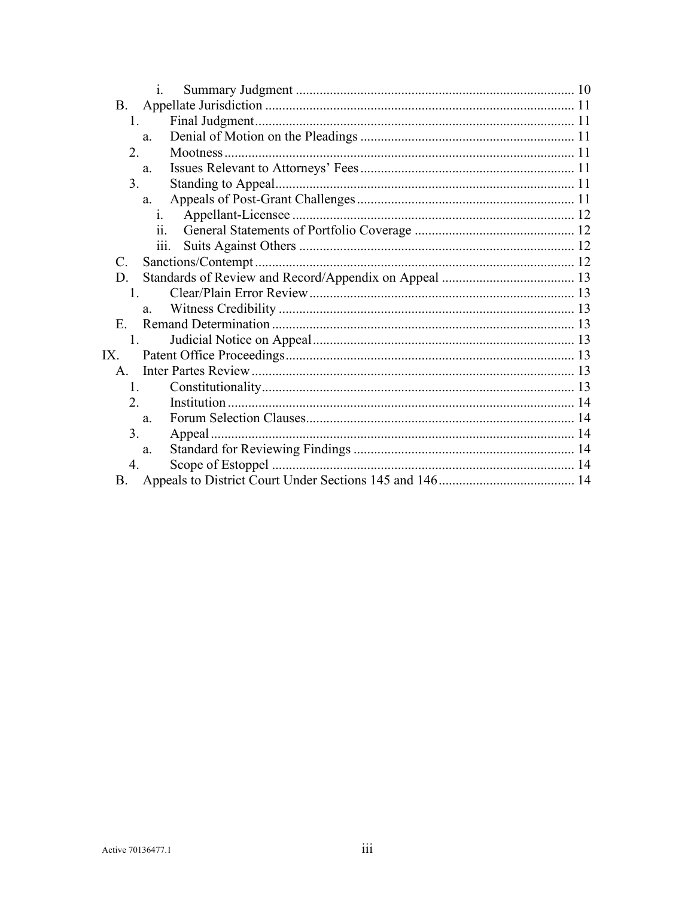|                      | $\mathbf{1}$ . |  |
|----------------------|----------------|--|
| Β.                   |                |  |
| 1.                   |                |  |
|                      | a.             |  |
| 2.                   |                |  |
|                      | a.             |  |
| 3.                   |                |  |
|                      | a.             |  |
|                      | 1.             |  |
|                      | 11.            |  |
|                      | 111.           |  |
| $\mathcal{C}$ .      |                |  |
| D.                   |                |  |
| $1_{-}$              |                |  |
|                      | a.             |  |
| $E_{\rm{r}}$         |                |  |
| $\mathbf{1}_{\cdot}$ |                |  |
| IX.                  |                |  |
| $\mathsf{A}$ .       |                |  |
| 1.                   |                |  |
| $\overline{2}$ .     |                |  |
|                      | a.             |  |
| 3.                   |                |  |
|                      | a.             |  |
| 4.                   |                |  |
| B.                   |                |  |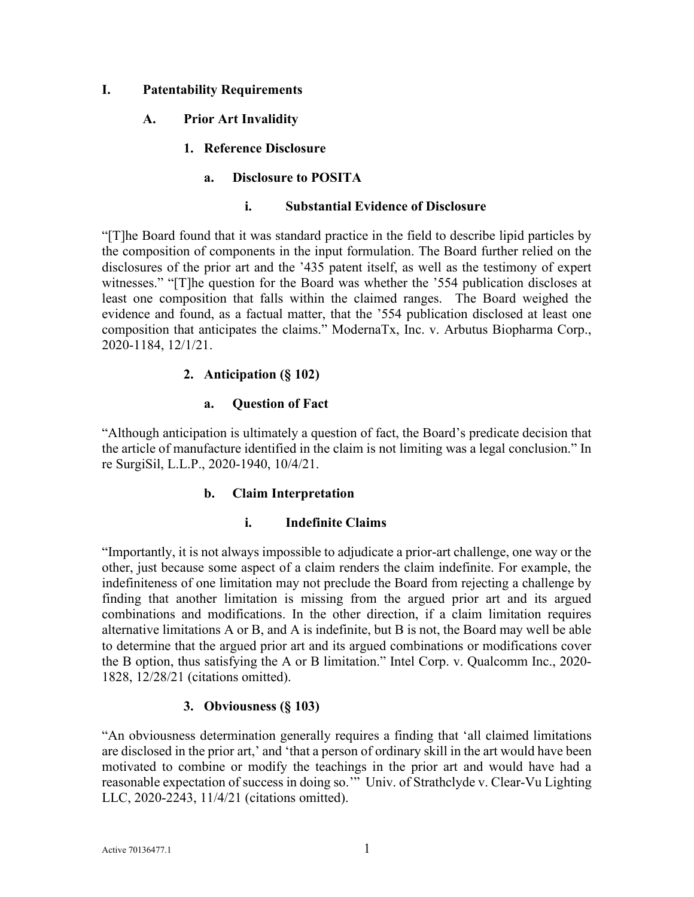### <span id="page-3-1"></span><span id="page-3-0"></span>**I. Patentability Requirements**

- <span id="page-3-2"></span>**A. Prior Art Invalidity** 
	- **1. Reference Disclosure**

### **a. Disclosure to POSITA**

#### **i. Substantial Evidence of Disclosure**

<span id="page-3-4"></span><span id="page-3-3"></span>"[T]he Board found that it was standard practice in the field to describe lipid particles by the composition of components in the input formulation. The Board further relied on the disclosures of the prior art and the '435 patent itself, as well as the testimony of expert witnesses." "[T]he question for the Board was whether the '554 publication discloses at least one composition that falls within the claimed ranges. The Board weighed the evidence and found, as a factual matter, that the '554 publication disclosed at least one composition that anticipates the claims." ModernaTx, Inc. v. Arbutus Biopharma Corp., 2020-1184, 12/1/21.

### **2. Anticipation (§ 102)**

#### **a. Question of Fact**

<span id="page-3-7"></span><span id="page-3-6"></span><span id="page-3-5"></span>"Although anticipation is ultimately a question of fact, the Board's predicate decision that the article of manufacture identified in the claim is not limiting was a legal conclusion." In re SurgiSil, L.L.P., 2020-1940, 10/4/21.

#### **b. Claim Interpretation**

#### **i. Indefinite Claims**

<span id="page-3-8"></span>"Importantly, it is not always impossible to adjudicate a prior-art challenge, one way or the other, just because some aspect of a claim renders the claim indefinite. For example, the indefiniteness of one limitation may not preclude the Board from rejecting a challenge by finding that another limitation is missing from the argued prior art and its argued combinations and modifications. In the other direction, if a claim limitation requires alternative limitations A or B, and A is indefinite, but B is not, the Board may well be able to determine that the argued prior art and its argued combinations or modifications cover the B option, thus satisfying the A or B limitation." Intel Corp. v. Qualcomm Inc., 2020- 1828, 12/28/21 (citations omitted).

# **3. Obviousness (§ 103)**

<span id="page-3-9"></span>"An obviousness determination generally requires a finding that 'all claimed limitations are disclosed in the prior art,' and 'that a person of ordinary skill in the art would have been motivated to combine or modify the teachings in the prior art and would have had a reasonable expectation of success in doing so.'" Univ. of Strathclyde v. Clear-Vu Lighting LLC, 2020-2243, 11/4/21 (citations omitted).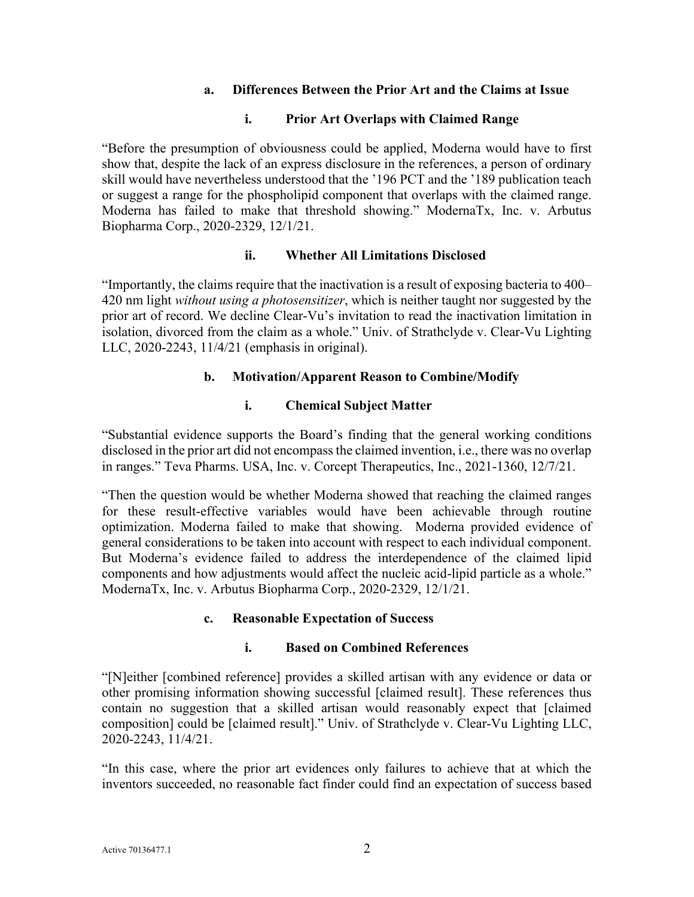### **a. Differences Between the Prior Art and the Claims at Issue**

### **i. Prior Art Overlaps with Claimed Range**

<span id="page-4-1"></span><span id="page-4-0"></span>"Before the presumption of obviousness could be applied, Moderna would have to first show that, despite the lack of an express disclosure in the references, a person of ordinary skill would have nevertheless understood that the '196 PCT and the '189 publication teach or suggest a range for the phospholipid component that overlaps with the claimed range. Moderna has failed to make that threshold showing." ModernaTx, Inc. v. Arbutus Biopharma Corp., 2020-2329, 12/1/21.

### **ii. Whether All Limitations Disclosed**

<span id="page-4-2"></span>"Importantly, the claims require that the inactivation is a result of exposing bacteria to 400– 420 nm light *without using a photosensitizer*, which is neither taught nor suggested by the prior art of record. We decline Clear-Vu's invitation to read the inactivation limitation in isolation, divorced from the claim as a whole." Univ. of Strathclyde v. Clear-Vu Lighting LLC, 2020-2243, 11/4/21 (emphasis in original).

### **b. Motivation/Apparent Reason to Combine/Modify**

### **i. Chemical Subject Matter**

<span id="page-4-4"></span><span id="page-4-3"></span>"Substantial evidence supports the Board's finding that the general working conditions disclosed in the prior art did not encompass the claimed invention, i.e., there was no overlap in ranges." Teva Pharms. USA, Inc. v. Corcept Therapeutics, Inc., 2021-1360, 12/7/21.

"Then the question would be whether Moderna showed that reaching the claimed ranges for these result-effective variables would have been achievable through routine optimization. Moderna failed to make that showing. Moderna provided evidence of general considerations to be taken into account with respect to each individual component. But Moderna's evidence failed to address the interdependence of the claimed lipid components and how adjustments would affect the nucleic acid-lipid particle as a whole." ModernaTx, Inc. v. Arbutus Biopharma Corp., 2020-2329, 12/1/21.

#### **c. Reasonable Expectation of Success**

#### **i. Based on Combined References**

<span id="page-4-6"></span><span id="page-4-5"></span>"[N]either [combined reference] provides a skilled artisan with any evidence or data or other promising information showing successful [claimed result]. These references thus contain no suggestion that a skilled artisan would reasonably expect that [claimed composition] could be [claimed result]." Univ. of Strathclyde v. Clear-Vu Lighting LLC, 2020-2243, 11/4/21.

"In this case, where the prior art evidences only failures to achieve that at which the inventors succeeded, no reasonable fact finder could find an expectation of success based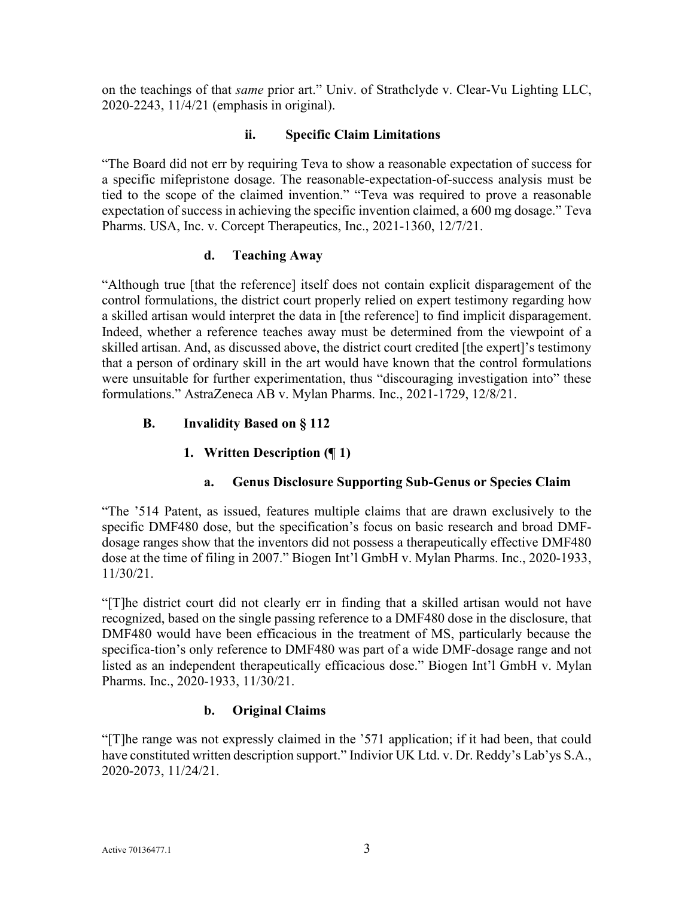on the teachings of that *same* prior art." Univ. of Strathclyde v. Clear-Vu Lighting LLC, 2020-2243, 11/4/21 (emphasis in original).

# **ii. Specific Claim Limitations**

<span id="page-5-0"></span>"The Board did not err by requiring Teva to show a reasonable expectation of success for a specific mifepristone dosage. The reasonable-expectation-of-success analysis must be tied to the scope of the claimed invention." "Teva was required to prove a reasonable expectation of success in achieving the specific invention claimed, a 600 mg dosage." Teva Pharms. USA, Inc. v. Corcept Therapeutics, Inc., 2021-1360, 12/7/21.

# **d. Teaching Away**

<span id="page-5-1"></span>"Although true [that the reference] itself does not contain explicit disparagement of the control formulations, the district court properly relied on expert testimony regarding how a skilled artisan would interpret the data in [the reference] to find implicit disparagement. Indeed, whether a reference teaches away must be determined from the viewpoint of a skilled artisan. And, as discussed above, the district court credited [the expert]'s testimony that a person of ordinary skill in the art would have known that the control formulations were unsuitable for further experimentation, thus "discouraging investigation into" these formulations." AstraZeneca AB v. Mylan Pharms. Inc., 2021-1729, 12/8/21.

# <span id="page-5-3"></span><span id="page-5-2"></span>**B. Invalidity Based on § 112**

# **1. Written Description (¶ 1)**

# **a. Genus Disclosure Supporting Sub-Genus or Species Claim**

<span id="page-5-4"></span>"The '514 Patent, as issued, features multiple claims that are drawn exclusively to the specific DMF480 dose, but the specification's focus on basic research and broad DMFdosage ranges show that the inventors did not possess a therapeutically effective DMF480 dose at the time of filing in 2007." Biogen Int'l GmbH v. Mylan Pharms. Inc., 2020-1933, 11/30/21.

"[T]he district court did not clearly err in finding that a skilled artisan would not have recognized, based on the single passing reference to a DMF480 dose in the disclosure, that DMF480 would have been efficacious in the treatment of MS, particularly because the specifica-tion's only reference to DMF480 was part of a wide DMF-dosage range and not listed as an independent therapeutically efficacious dose." Biogen Int'l GmbH v. Mylan Pharms. Inc., 2020-1933, 11/30/21.

# **b. Original Claims**

<span id="page-5-5"></span>"[T]he range was not expressly claimed in the '571 application; if it had been, that could have constituted written description support." Indivior UK Ltd. v. Dr. Reddy's Lab'ys S.A., 2020-2073, 11/24/21.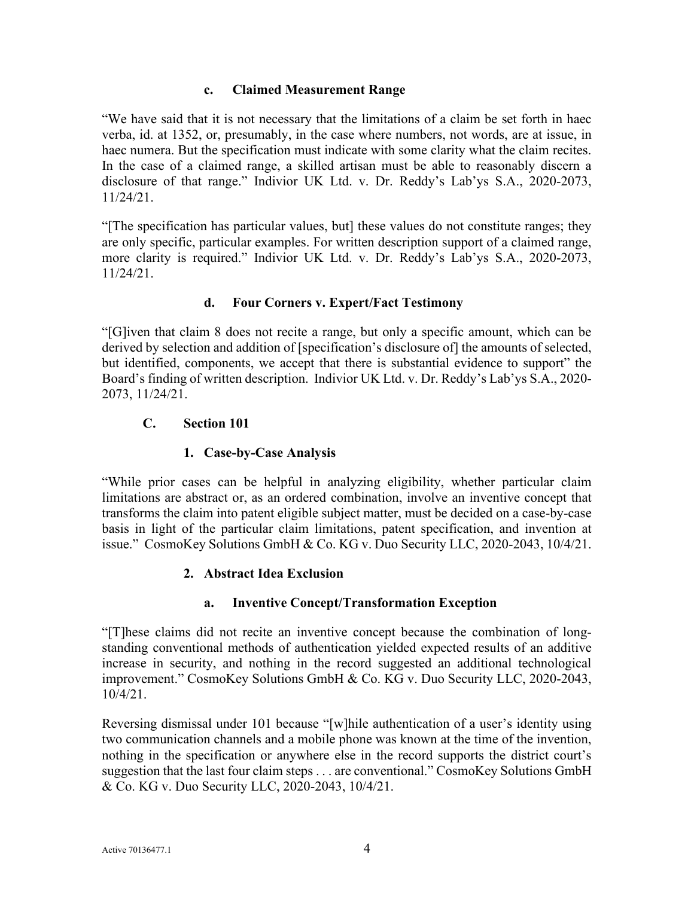### **c. Claimed Measurement Range**

<span id="page-6-0"></span>"We have said that it is not necessary that the limitations of a claim be set forth in haec verba, id. at 1352, or, presumably, in the case where numbers, not words, are at issue, in haec numera. But the specification must indicate with some clarity what the claim recites. In the case of a claimed range, a skilled artisan must be able to reasonably discern a disclosure of that range." Indivior UK Ltd. v. Dr. Reddy's Lab'ys S.A., 2020-2073, 11/24/21.

"[The specification has particular values, but] these values do not constitute ranges; they are only specific, particular examples. For written description support of a claimed range, more clarity is required." Indivior UK Ltd. v. Dr. Reddy's Lab'ys S.A., 2020-2073, 11/24/21.

# **d. Four Corners v. Expert/Fact Testimony**

<span id="page-6-1"></span>"[G]iven that claim 8 does not recite a range, but only a specific amount, which can be derived by selection and addition of [specification's disclosure of] the amounts of selected, but identified, components, we accept that there is substantial evidence to support" the Board's finding of written description. Indivior UK Ltd. v. Dr. Reddy's Lab'ys S.A., 2020- 2073, 11/24/21.

# <span id="page-6-2"></span>**C. Section 101**

# **1. Case-by-Case Analysis**

<span id="page-6-3"></span>"While prior cases can be helpful in analyzing eligibility, whether particular claim limitations are abstract or, as an ordered combination, involve an inventive concept that transforms the claim into patent eligible subject matter, must be decided on a case-by-case basis in light of the particular claim limitations, patent specification, and invention at issue." CosmoKey Solutions GmbH & Co. KG v. Duo Security LLC, 2020-2043, 10/4/21.

# **2. Abstract Idea Exclusion**

# **a. Inventive Concept/Transformation Exception**

<span id="page-6-5"></span><span id="page-6-4"></span>"[T]hese claims did not recite an inventive concept because the combination of longstanding conventional methods of authentication yielded expected results of an additive increase in security, and nothing in the record suggested an additional technological improvement." CosmoKey Solutions GmbH & Co. KG v. Duo Security LLC, 2020-2043, 10/4/21.

Reversing dismissal under 101 because "[w]hile authentication of a user's identity using two communication channels and a mobile phone was known at the time of the invention, nothing in the specification or anywhere else in the record supports the district court's suggestion that the last four claim steps . . . are conventional." CosmoKey Solutions GmbH & Co. KG v. Duo Security LLC, 2020-2043, 10/4/21.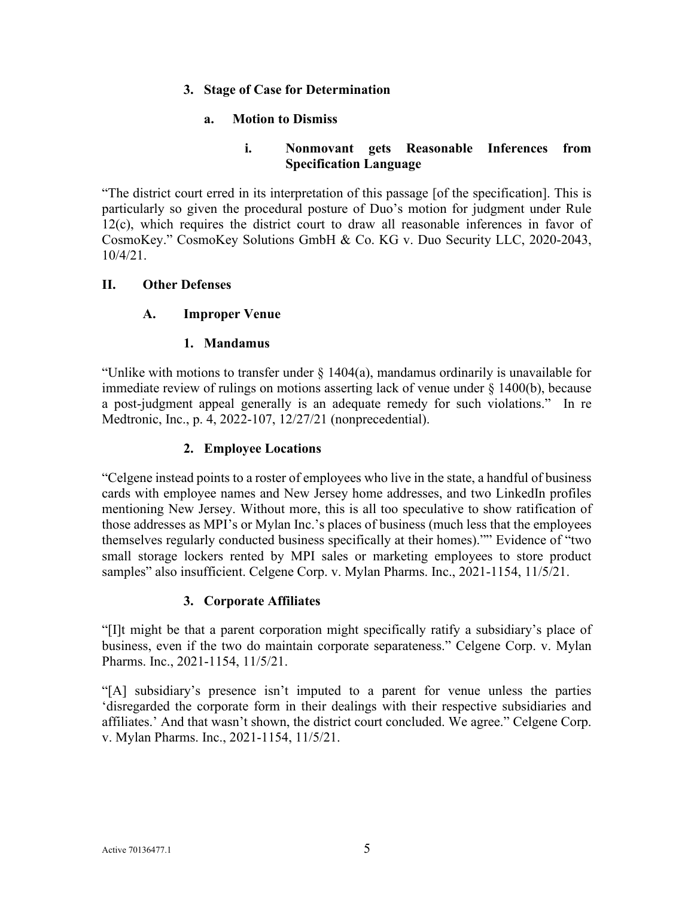### <span id="page-7-0"></span>**3. Stage of Case for Determination**

### **a. Motion to Dismiss**

### **i. Nonmovant gets Reasonable Inferences from Specification Language**

<span id="page-7-2"></span><span id="page-7-1"></span>"The district court erred in its interpretation of this passage [of the specification]. This is particularly so given the procedural posture of Duo's motion for judgment under Rule 12(c), which requires the district court to draw all reasonable inferences in favor of CosmoKey." CosmoKey Solutions GmbH & Co. KG v. Duo Security LLC, 2020-2043, 10/4/21.

### <span id="page-7-4"></span><span id="page-7-3"></span>**II. Other Defenses**

### **A. Improper Venue**

#### **1. Mandamus**

<span id="page-7-5"></span>"Unlike with motions to transfer under  $\S$  1404(a), mandamus ordinarily is unavailable for immediate review of rulings on motions asserting lack of venue under  $\S$  1400(b), because a post-judgment appeal generally is an adequate remedy for such violations." In re Medtronic, Inc., p. 4, 2022-107, 12/27/21 (nonprecedential).

### **2. Employee Locations**

<span id="page-7-6"></span>"Celgene instead points to a roster of employees who live in the state, a handful of business cards with employee names and New Jersey home addresses, and two LinkedIn profiles mentioning New Jersey. Without more, this is all too speculative to show ratification of those addresses as MPI's or Mylan Inc.'s places of business (much less that the employees themselves regularly conducted business specifically at their homes)."" Evidence of "two small storage lockers rented by MPI sales or marketing employees to store product samples" also insufficient. Celgene Corp. v. Mylan Pharms. Inc., 2021-1154, 11/5/21.

#### **3. Corporate Affiliates**

<span id="page-7-7"></span>"[I]t might be that a parent corporation might specifically ratify a subsidiary's place of business, even if the two do maintain corporate separateness." Celgene Corp. v. Mylan Pharms. Inc., 2021-1154, 11/5/21.

"[A] subsidiary's presence isn't imputed to a parent for venue unless the parties 'disregarded the corporate form in their dealings with their respective subsidiaries and affiliates.' And that wasn't shown, the district court concluded. We agree." Celgene Corp. v. Mylan Pharms. Inc., 2021-1154, 11/5/21.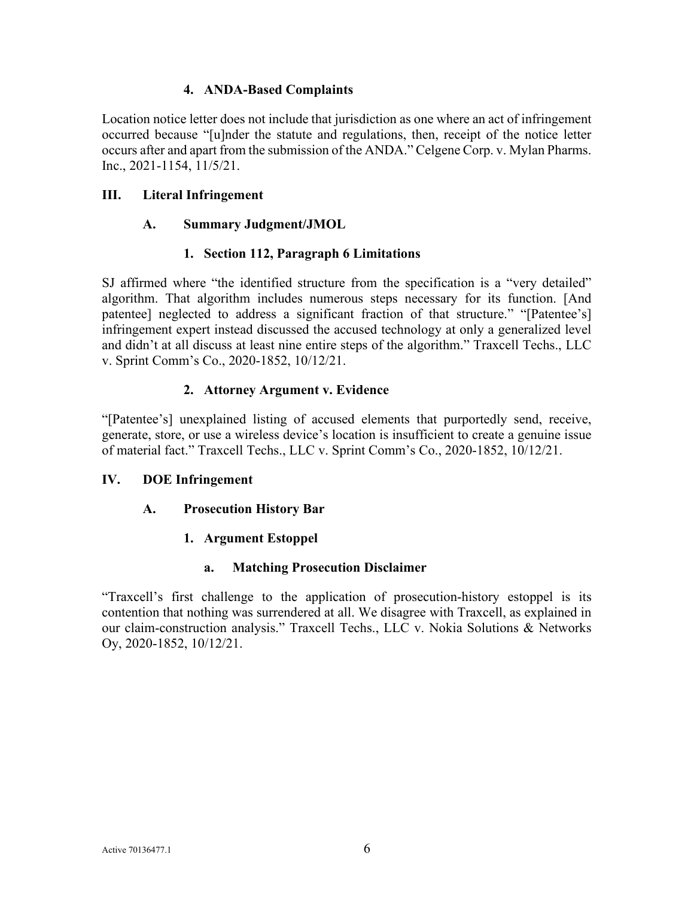### **4. ANDA-Based Complaints**

<span id="page-8-0"></span>Location notice letter does not include that jurisdiction as one where an act of infringement occurred because "[u]nder the statute and regulations, then, receipt of the notice letter occurs after and apart from the submission of the ANDA." Celgene Corp. v. Mylan Pharms. Inc., 2021-1154, 11/5/21.

### <span id="page-8-2"></span><span id="page-8-1"></span>**III. Literal Infringement**

### **A. Summary Judgment/JMOL**

### **1. Section 112, Paragraph 6 Limitations**

<span id="page-8-3"></span>SJ affirmed where "the identified structure from the specification is a "very detailed" algorithm. That algorithm includes numerous steps necessary for its function. [And patentee] neglected to address a significant fraction of that structure." "[Patentee's] infringement expert instead discussed the accused technology at only a generalized level and didn't at all discuss at least nine entire steps of the algorithm." Traxcell Techs., LLC v. Sprint Comm's Co., 2020-1852, 10/12/21.

# **2. Attorney Argument v. Evidence**

<span id="page-8-4"></span>"[Patentee's] unexplained listing of accused elements that purportedly send, receive, generate, store, or use a wireless device's location is insufficient to create a genuine issue of material fact." Traxcell Techs., LLC v. Sprint Comm's Co., 2020-1852, 10/12/21.

#### <span id="page-8-6"></span><span id="page-8-5"></span>**IV. DOE Infringement**

# <span id="page-8-7"></span>**A. Prosecution History Bar**

# **1. Argument Estoppel**

#### **a. Matching Prosecution Disclaimer**

<span id="page-8-8"></span>"Traxcell's first challenge to the application of prosecution-history estoppel is its contention that nothing was surrendered at all. We disagree with Traxcell, as explained in our claim-construction analysis." Traxcell Techs., LLC v. Nokia Solutions & Networks Oy, 2020-1852, 10/12/21.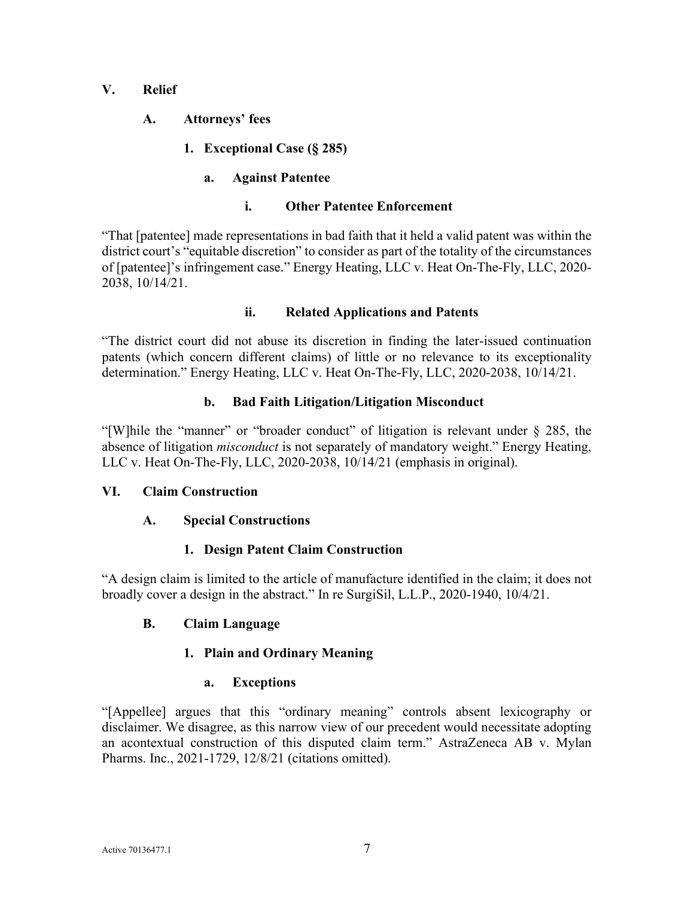### <span id="page-9-1"></span><span id="page-9-0"></span>**V. Relief**

- <span id="page-9-2"></span>**A. Attorneys' fees** 
	- **1. Exceptional Case (§ 285)**

# **a. Against Patentee**

### **i. Other Patentee Enforcement**

<span id="page-9-4"></span><span id="page-9-3"></span>"That [patentee] made representations in bad faith that it held a valid patent was within the district court's "equitable discretion" to consider as part of the totality of the circumstances of [patentee]'s infringement case." Energy Heating, LLC v. Heat On-The-Fly, LLC, 2020- 2038, 10/14/21.

# **ii. Related Applications and Patents**

<span id="page-9-5"></span>"The district court did not abuse its discretion in finding the later-issued continuation patents (which concern different claims) of little or no relevance to its exceptionality determination." Energy Heating, LLC v. Heat On-The-Fly, LLC, 2020-2038, 10/14/21.

### **b. Bad Faith Litigation/Litigation Misconduct**

<span id="page-9-6"></span>"[W]hile the "manner" or "broader conduct" of litigation is relevant under § 285, the absence of litigation *misconduct* is not separately of mandatory weight." Energy Heating, LLC v. Heat On-The-Fly, LLC, 2020-2038, 10/14/21 (emphasis in original).

# <span id="page-9-8"></span><span id="page-9-7"></span>**VI. Claim Construction**

# **A. Special Constructions**

# **1. Design Patent Claim Construction**

<span id="page-9-9"></span>"A design claim is limited to the article of manufacture identified in the claim; it does not broadly cover a design in the abstract." In re SurgiSil, L.L.P., 2020-1940, 10/4/21.

# <span id="page-9-11"></span><span id="page-9-10"></span>**B. Claim Language**

# **1. Plain and Ordinary Meaning**

# **a. Exceptions**

<span id="page-9-12"></span>"[Appellee] argues that this "ordinary meaning" controls absent lexicography or disclaimer. We disagree, as this narrow view of our precedent would necessitate adopting an acontextual construction of this disputed claim term." AstraZeneca AB v. Mylan Pharms. Inc., 2021-1729, 12/8/21 (citations omitted).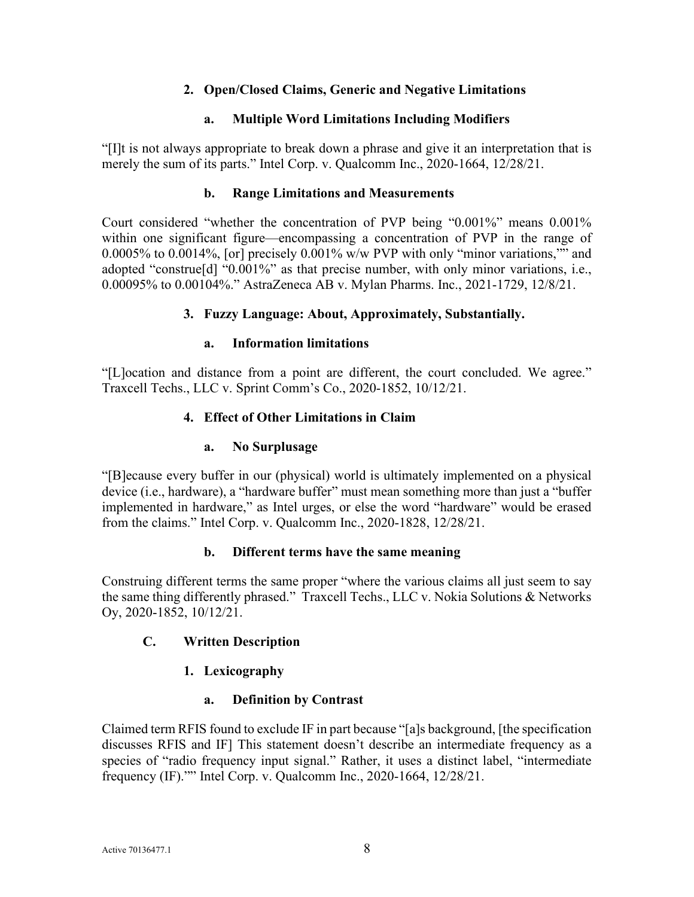# **2. Open/Closed Claims, Generic and Negative Limitations**

#### **a. Multiple Word Limitations Including Modifiers**

<span id="page-10-1"></span><span id="page-10-0"></span>"[I]t is not always appropriate to break down a phrase and give it an interpretation that is merely the sum of its parts." Intel Corp. v. Qualcomm Inc., 2020-1664, 12/28/21.

#### **b. Range Limitations and Measurements**

<span id="page-10-2"></span>Court considered "whether the concentration of PVP being "0.001%" means 0.001% within one significant figure—encompassing a concentration of PVP in the range of 0.0005% to 0.0014%, [or] precisely 0.001% w/w PVP with only "minor variations,"" and adopted "construe[d] "0.001%" as that precise number, with only minor variations, i.e., 0.00095% to 0.00104%." AstraZeneca AB v. Mylan Pharms. Inc., 2021-1729, 12/8/21.

#### **3. Fuzzy Language: About, Approximately, Substantially.**

#### **a. Information limitations**

<span id="page-10-5"></span><span id="page-10-4"></span><span id="page-10-3"></span>"[L]ocation and distance from a point are different, the court concluded. We agree." Traxcell Techs., LLC v. Sprint Comm's Co., 2020-1852, 10/12/21.

#### **4. Effect of Other Limitations in Claim**

#### **a. No Surplusage**

<span id="page-10-6"></span>"[B]ecause every buffer in our (physical) world is ultimately implemented on a physical device (i.e., hardware), a "hardware buffer" must mean something more than just a "buffer implemented in hardware," as Intel urges, or else the word "hardware" would be erased from the claims." Intel Corp. v. Qualcomm Inc., 2020-1828, 12/28/21.

#### **b. Different terms have the same meaning**

<span id="page-10-7"></span>Construing different terms the same proper "where the various claims all just seem to say the same thing differently phrased." Traxcell Techs., LLC v. Nokia Solutions & Networks Oy, 2020-1852, 10/12/21.

#### <span id="page-10-9"></span><span id="page-10-8"></span>**C. Written Description**

#### **1. Lexicography**

#### **a. Definition by Contrast**

<span id="page-10-10"></span>Claimed term RFIS found to exclude IF in part because "[a]s background, [the specification discusses RFIS and IF] This statement doesn't describe an intermediate frequency as a species of "radio frequency input signal." Rather, it uses a distinct label, "intermediate frequency (IF)."" Intel Corp. v. Qualcomm Inc., 2020-1664, 12/28/21.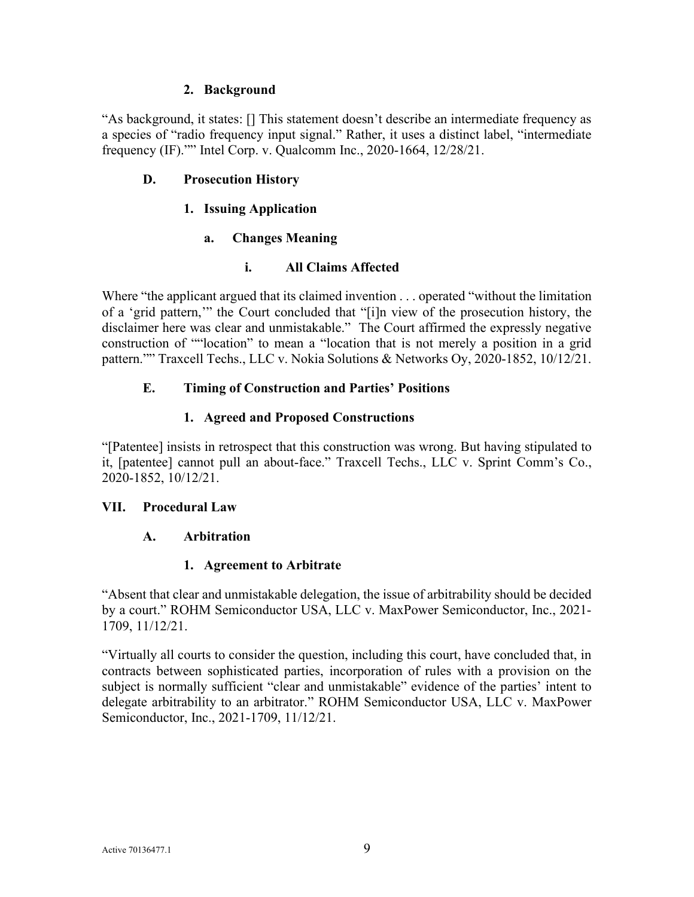### **2. Background**

<span id="page-11-0"></span>"As background, it states: [] This statement doesn't describe an intermediate frequency as a species of "radio frequency input signal." Rather, it uses a distinct label, "intermediate frequency (IF)."" Intel Corp. v. Qualcomm Inc., 2020-1664, 12/28/21.

### <span id="page-11-2"></span><span id="page-11-1"></span>**D. Prosecution History**

### **1. Issuing Application**

### **a. Changes Meaning**

### **i. All Claims Affected**

<span id="page-11-4"></span><span id="page-11-3"></span>Where "the applicant argued that its claimed invention . . . operated "without the limitation" of a 'grid pattern,'" the Court concluded that "[i]n view of the prosecution history, the disclaimer here was clear and unmistakable." The Court affirmed the expressly negative construction of ""location" to mean a "location that is not merely a position in a grid pattern."" Traxcell Techs., LLC v. Nokia Solutions & Networks Oy, 2020-1852, 10/12/21.

# <span id="page-11-5"></span>**E. Timing of Construction and Parties' Positions**

# **1. Agreed and Proposed Constructions**

<span id="page-11-6"></span>"[Patentee] insists in retrospect that this construction was wrong. But having stipulated to it, [patentee] cannot pull an about-face." Traxcell Techs., LLC v. Sprint Comm's Co., 2020-1852, 10/12/21.

#### <span id="page-11-8"></span><span id="page-11-7"></span>**VII. Procedural Law**

#### **A. Arbitration**

#### **1. Agreement to Arbitrate**

<span id="page-11-9"></span>"Absent that clear and unmistakable delegation, the issue of arbitrability should be decided by a court." ROHM Semiconductor USA, LLC v. MaxPower Semiconductor, Inc., 2021- 1709, 11/12/21.

"Virtually all courts to consider the question, including this court, have concluded that, in contracts between sophisticated parties, incorporation of rules with a provision on the subject is normally sufficient "clear and unmistakable" evidence of the parties' intent to delegate arbitrability to an arbitrator." ROHM Semiconductor USA, LLC v. MaxPower Semiconductor, Inc., 2021-1709, 11/12/21.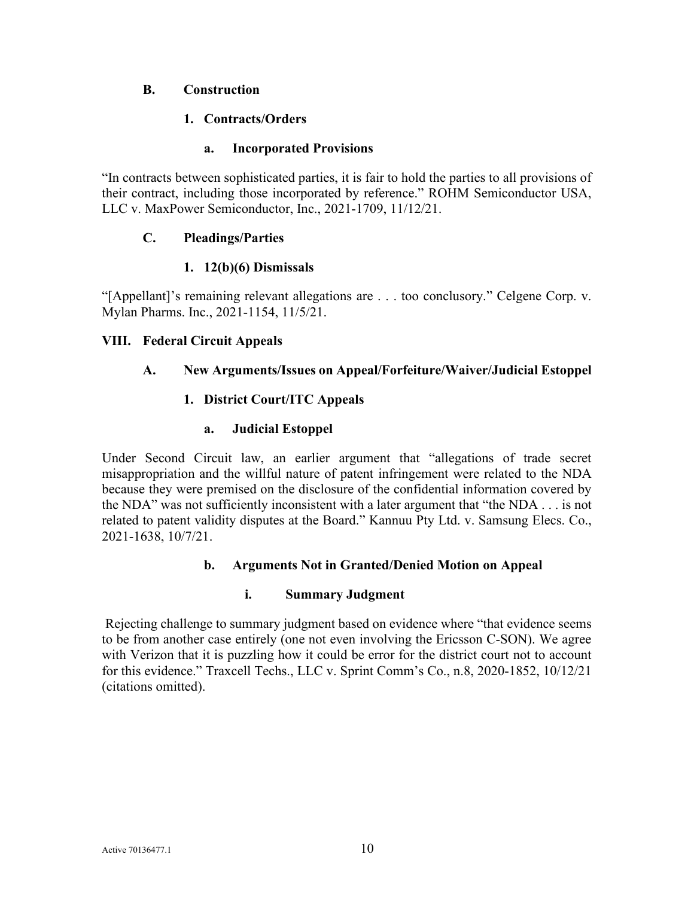### <span id="page-12-1"></span><span id="page-12-0"></span>**B. Construction**

### **1. Contracts/Orders**

### **a. Incorporated Provisions**

<span id="page-12-2"></span>"In contracts between sophisticated parties, it is fair to hold the parties to all provisions of their contract, including those incorporated by reference." ROHM Semiconductor USA, LLC v. MaxPower Semiconductor, Inc., 2021-1709, 11/12/21.

### <span id="page-12-3"></span>**C. Pleadings/Parties**

### **1. 12(b)(6) Dismissals**

<span id="page-12-4"></span>"[Appellant]'s remaining relevant allegations are . . . too conclusory." Celgene Corp. v. Mylan Pharms. Inc., 2021-1154, 11/5/21.

### <span id="page-12-6"></span><span id="page-12-5"></span>**VIII. Federal Circuit Appeals**

# <span id="page-12-7"></span>**A. New Arguments/Issues on Appeal/Forfeiture/Waiver/Judicial Estoppel**

# **1. District Court/ITC Appeals**

### **a. Judicial Estoppel**

<span id="page-12-8"></span>Under Second Circuit law, an earlier argument that "allegations of trade secret misappropriation and the willful nature of patent infringement were related to the NDA because they were premised on the disclosure of the confidential information covered by the NDA" was not sufficiently inconsistent with a later argument that "the NDA . . . is not related to patent validity disputes at the Board." Kannuu Pty Ltd. v. Samsung Elecs. Co., 2021-1638, 10/7/21.

#### **b. Arguments Not in Granted/Denied Motion on Appeal**

#### **i. Summary Judgment**

<span id="page-12-10"></span><span id="page-12-9"></span> Rejecting challenge to summary judgment based on evidence where "that evidence seems to be from another case entirely (one not even involving the Ericsson C-SON). We agree with Verizon that it is puzzling how it could be error for the district court not to account for this evidence." Traxcell Techs., LLC v. Sprint Comm's Co., n.8, 2020-1852, 10/12/21 (citations omitted).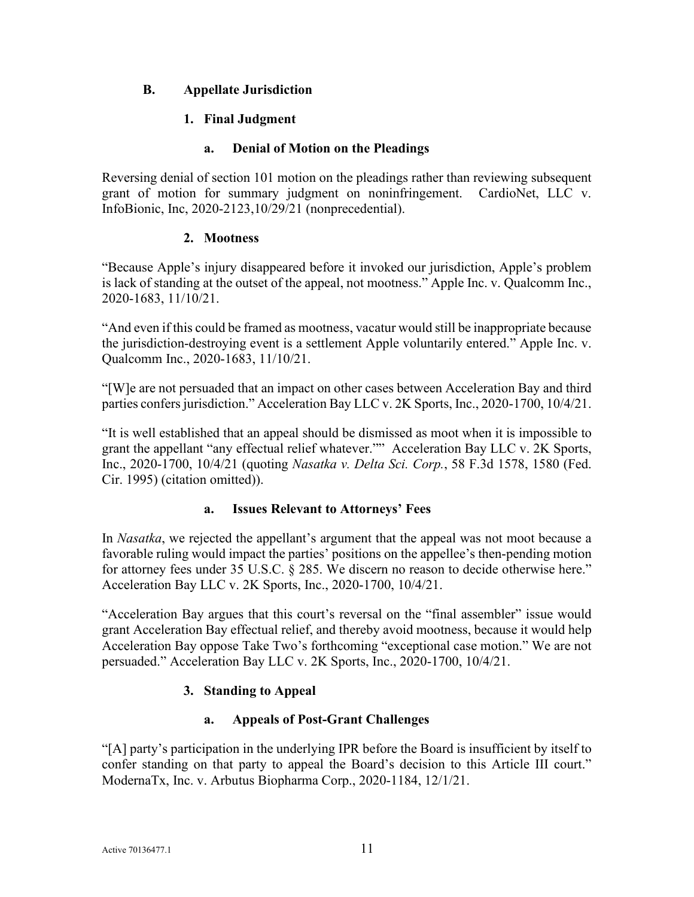# <span id="page-13-1"></span><span id="page-13-0"></span>**B. Appellate Jurisdiction**

### **1. Final Judgment**

### **a. Denial of Motion on the Pleadings**

<span id="page-13-2"></span>Reversing denial of section 101 motion on the pleadings rather than reviewing subsequent grant of motion for summary judgment on noninfringement. CardioNet, LLC v. InfoBionic, Inc, 2020-2123,10/29/21 (nonprecedential).

#### **2. Mootness**

<span id="page-13-3"></span>"Because Apple's injury disappeared before it invoked our jurisdiction, Apple's problem is lack of standing at the outset of the appeal, not mootness." Apple Inc. v. Qualcomm Inc., 2020-1683, 11/10/21.

"And even if this could be framed as mootness, vacatur would still be inappropriate because the jurisdiction-destroying event is a settlement Apple voluntarily entered." Apple Inc. v. Qualcomm Inc., 2020-1683, 11/10/21.

"[W]e are not persuaded that an impact on other cases between Acceleration Bay and third parties confers jurisdiction." Acceleration Bay LLC v. 2K Sports, Inc., 2020-1700, 10/4/21.

"It is well established that an appeal should be dismissed as moot when it is impossible to grant the appellant "any effectual relief whatever."" Acceleration Bay LLC v. 2K Sports, Inc., 2020-1700, 10/4/21 (quoting *Nasatka v. Delta Sci. Corp.*, 58 F.3d 1578, 1580 (Fed. Cir. 1995) (citation omitted)).

# **a. Issues Relevant to Attorneys' Fees**

<span id="page-13-4"></span>In *Nasatka*, we rejected the appellant's argument that the appeal was not moot because a favorable ruling would impact the parties' positions on the appellee's then-pending motion for attorney fees under 35 U.S.C. § 285. We discern no reason to decide otherwise here." Acceleration Bay LLC v. 2K Sports, Inc., 2020-1700, 10/4/21.

"Acceleration Bay argues that this court's reversal on the "final assembler" issue would grant Acceleration Bay effectual relief, and thereby avoid mootness, because it would help Acceleration Bay oppose Take Two's forthcoming "exceptional case motion." We are not persuaded." Acceleration Bay LLC v. 2K Sports, Inc., 2020-1700, 10/4/21.

# **3. Standing to Appeal**

# **a. Appeals of Post-Grant Challenges**

<span id="page-13-6"></span><span id="page-13-5"></span>"[A] party's participation in the underlying IPR before the Board is insufficient by itself to confer standing on that party to appeal the Board's decision to this Article III court." ModernaTx, Inc. v. Arbutus Biopharma Corp., 2020-1184, 12/1/21.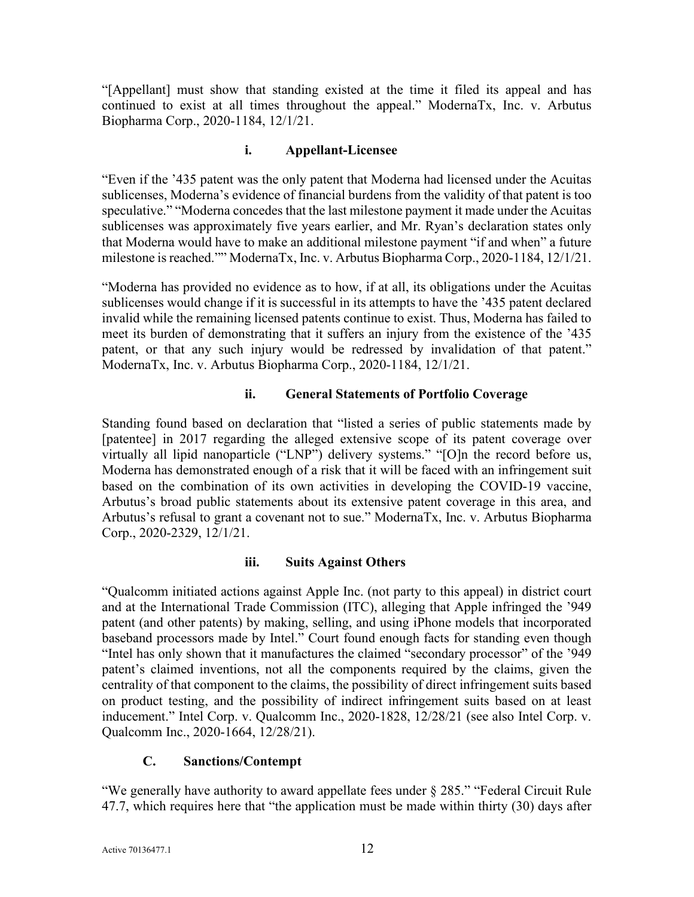"[Appellant] must show that standing existed at the time it filed its appeal and has continued to exist at all times throughout the appeal." ModernaTx, Inc. v. Arbutus Biopharma Corp., 2020-1184, 12/1/21.

#### **i. Appellant-Licensee**

<span id="page-14-0"></span>"Even if the '435 patent was the only patent that Moderna had licensed under the Acuitas sublicenses, Moderna's evidence of financial burdens from the validity of that patent is too speculative." "Moderna concedes that the last milestone payment it made under the Acuitas sublicenses was approximately five years earlier, and Mr. Ryan's declaration states only that Moderna would have to make an additional milestone payment "if and when" a future milestone is reached."" ModernaTx, Inc. v. Arbutus Biopharma Corp., 2020-1184, 12/1/21.

"Moderna has provided no evidence as to how, if at all, its obligations under the Acuitas sublicenses would change if it is successful in its attempts to have the '435 patent declared invalid while the remaining licensed patents continue to exist. Thus, Moderna has failed to meet its burden of demonstrating that it suffers an injury from the existence of the '435 patent, or that any such injury would be redressed by invalidation of that patent." ModernaTx, Inc. v. Arbutus Biopharma Corp., 2020-1184, 12/1/21.

# **ii. General Statements of Portfolio Coverage**

<span id="page-14-1"></span>Standing found based on declaration that "listed a series of public statements made by [patentee] in 2017 regarding the alleged extensive scope of its patent coverage over virtually all lipid nanoparticle ("LNP") delivery systems." "[O]n the record before us, Moderna has demonstrated enough of a risk that it will be faced with an infringement suit based on the combination of its own activities in developing the COVID-19 vaccine, Arbutus's broad public statements about its extensive patent coverage in this area, and Arbutus's refusal to grant a covenant not to sue." ModernaTx, Inc. v. Arbutus Biopharma Corp., 2020-2329, 12/1/21.

# **iii. Suits Against Others**

<span id="page-14-2"></span>"Qualcomm initiated actions against Apple Inc. (not party to this appeal) in district court and at the International Trade Commission (ITC), alleging that Apple infringed the '949 patent (and other patents) by making, selling, and using iPhone models that incorporated baseband processors made by Intel." Court found enough facts for standing even though "Intel has only shown that it manufactures the claimed "secondary processor" of the '949 patent's claimed inventions, not all the components required by the claims, given the centrality of that component to the claims, the possibility of direct infringement suits based on product testing, and the possibility of indirect infringement suits based on at least inducement." Intel Corp. v. Qualcomm Inc., 2020-1828, 12/28/21 (see also Intel Corp. v. Qualcomm Inc., 2020-1664, 12/28/21).

# **C. Sanctions/Contempt**

<span id="page-14-3"></span>"We generally have authority to award appellate fees under § 285." "Federal Circuit Rule 47.7, which requires here that "the application must be made within thirty (30) days after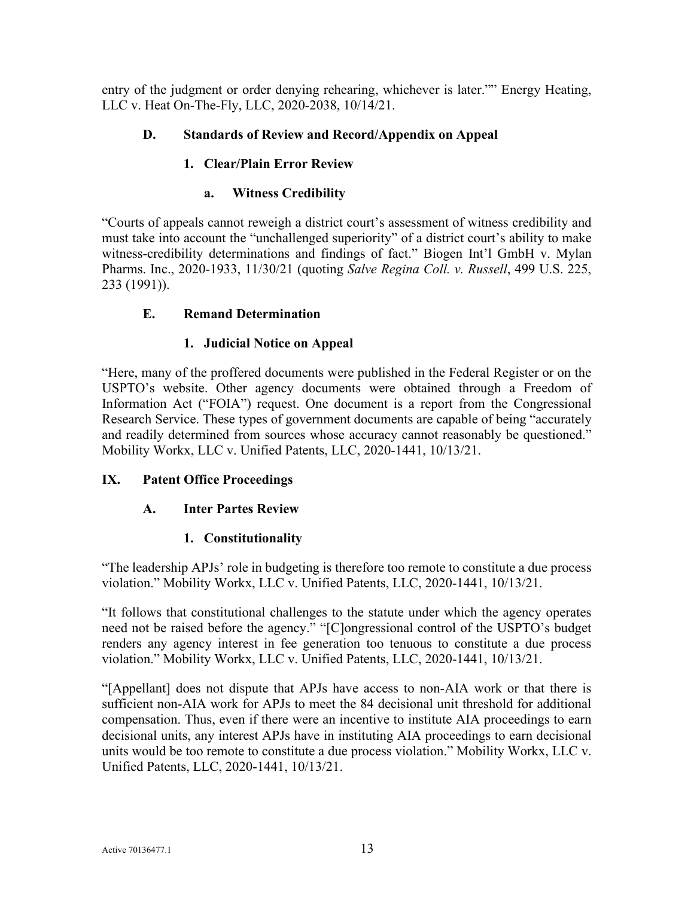entry of the judgment or order denying rehearing, whichever is later."" Energy Heating, LLC v. Heat On-The-Fly, LLC, 2020-2038, 10/14/21.

# <span id="page-15-1"></span><span id="page-15-0"></span>**D. Standards of Review and Record/Appendix on Appeal**

# **1. Clear/Plain Error Review**

# **a. Witness Credibility**

<span id="page-15-2"></span>"Courts of appeals cannot reweigh a district court's assessment of witness credibility and must take into account the "unchallenged superiority" of a district court's ability to make witness-credibility determinations and findings of fact." Biogen Int'l GmbH v. Mylan Pharms. Inc., 2020-1933, 11/30/21 (quoting *Salve Regina Coll. v. Russell*, 499 U.S. 225, 233 (1991)).

# <span id="page-15-3"></span>**E. Remand Determination**

# **1. Judicial Notice on Appeal**

<span id="page-15-4"></span>"Here, many of the proffered documents were published in the Federal Register or on the USPTO's website. Other agency documents were obtained through a Freedom of Information Act ("FOIA") request. One document is a report from the Congressional Research Service. These types of government documents are capable of being "accurately and readily determined from sources whose accuracy cannot reasonably be questioned." Mobility Workx, LLC v. Unified Patents, LLC, 2020-1441, 10/13/21.

# <span id="page-15-6"></span><span id="page-15-5"></span>**IX. Patent Office Proceedings**

# **A. Inter Partes Review**

# **1. Constitutionality**

<span id="page-15-7"></span>"The leadership APJs' role in budgeting is therefore too remote to constitute a due process violation." Mobility Workx, LLC v. Unified Patents, LLC, 2020-1441, 10/13/21.

"It follows that constitutional challenges to the statute under which the agency operates need not be raised before the agency." "[C]ongressional control of the USPTO's budget renders any agency interest in fee generation too tenuous to constitute a due process violation." Mobility Workx, LLC v. Unified Patents, LLC, 2020-1441, 10/13/21.

"[Appellant] does not dispute that APJs have access to non-AIA work or that there is sufficient non-AIA work for APJs to meet the 84 decisional unit threshold for additional compensation. Thus, even if there were an incentive to institute AIA proceedings to earn decisional units, any interest APJs have in instituting AIA proceedings to earn decisional units would be too remote to constitute a due process violation." Mobility Workx, LLC v. Unified Patents, LLC, 2020-1441, 10/13/21.